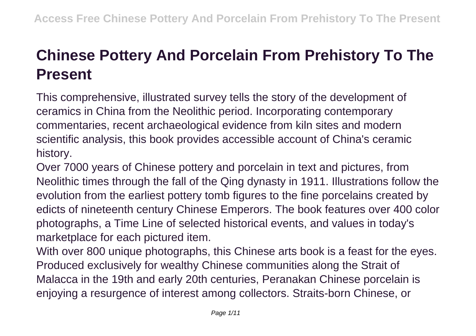## **Chinese Pottery And Porcelain From Prehistory To The Present**

This comprehensive, illustrated survey tells the story of the development of ceramics in China from the Neolithic period. Incorporating contemporary commentaries, recent archaeological evidence from kiln sites and modern scientific analysis, this book provides accessible account of China's ceramic history.

Over 7000 years of Chinese pottery and porcelain in text and pictures, from Neolithic times through the fall of the Qing dynasty in 1911. Illustrations follow the evolution from the earliest pottery tomb figures to the fine porcelains created by edicts of nineteenth century Chinese Emperors. The book features over 400 color photographs, a Time Line of selected historical events, and values in today's marketplace for each pictured item.

With over 800 unique photographs, this Chinese arts book is a feast for the eyes. Produced exclusively for wealthy Chinese communities along the Strait of Malacca in the 19th and early 20th centuries, Peranakan Chinese porcelain is enjoying a resurgence of interest among collectors. Straits-born Chinese, or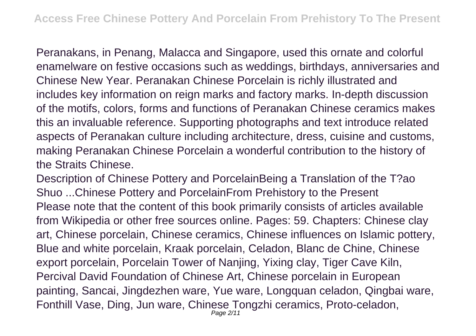Peranakans, in Penang, Malacca and Singapore, used this ornate and colorful enamelware on festive occasions such as weddings, birthdays, anniversaries and Chinese New Year. Peranakan Chinese Porcelain is richly illustrated and includes key information on reign marks and factory marks. In-depth discussion of the motifs, colors, forms and functions of Peranakan Chinese ceramics makes this an invaluable reference. Supporting photographs and text introduce related aspects of Peranakan culture including architecture, dress, cuisine and customs, making Peranakan Chinese Porcelain a wonderful contribution to the history of the Straits Chinese.

Description of Chinese Pottery and PorcelainBeing a Translation of the T?ao Shuo ...Chinese Pottery and PorcelainFrom Prehistory to the Present Please note that the content of this book primarily consists of articles available from Wikipedia or other free sources online. Pages: 59. Chapters: Chinese clay art, Chinese porcelain, Chinese ceramics, Chinese influences on Islamic pottery, Blue and white porcelain, Kraak porcelain, Celadon, Blanc de Chine, Chinese export porcelain, Porcelain Tower of Nanjing, Yixing clay, Tiger Cave Kiln, Percival David Foundation of Chinese Art, Chinese porcelain in European painting, Sancai, Jingdezhen ware, Yue ware, Longquan celadon, Qingbai ware, Fonthill Vase, Ding, Jun ware, Chinese Tongzhi ceramics, Proto-celadon, Page 2/11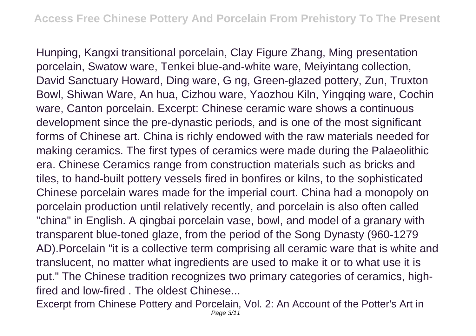Hunping, Kangxi transitional porcelain, Clay Figure Zhang, Ming presentation porcelain, Swatow ware, Tenkei blue-and-white ware, Meiyintang collection, David Sanctuary Howard, Ding ware, G ng, Green-glazed pottery, Zun, Truxton Bowl, Shiwan Ware, An hua, Cizhou ware, Yaozhou Kiln, Yingqing ware, Cochin ware, Canton porcelain. Excerpt: Chinese ceramic ware shows a continuous development since the pre-dynastic periods, and is one of the most significant forms of Chinese art. China is richly endowed with the raw materials needed for making ceramics. The first types of ceramics were made during the Palaeolithic era. Chinese Ceramics range from construction materials such as bricks and tiles, to hand-built pottery vessels fired in bonfires or kilns, to the sophisticated Chinese porcelain wares made for the imperial court. China had a monopoly on porcelain production until relatively recently, and porcelain is also often called "china" in English. A qingbai porcelain vase, bowl, and model of a granary with transparent blue-toned glaze, from the period of the Song Dynasty (960-1279 AD).Porcelain "it is a collective term comprising all ceramic ware that is white and translucent, no matter what ingredients are used to make it or to what use it is put." The Chinese tradition recognizes two primary categories of ceramics, highfired and low-fired . The oldest Chinese...

Excerpt from Chinese Pottery and Porcelain, Vol. 2: An Account of the Potter's Art in Page 3/11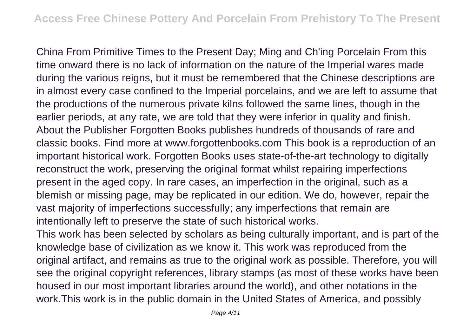China From Primitive Times to the Present Day; Ming and Ch'ing Porcelain From this time onward there is no lack of information on the nature of the Imperial wares made during the various reigns, but it must be remembered that the Chinese descriptions are in almost every case confined to the Imperial porcelains, and we are left to assume that the productions of the numerous private kilns followed the same lines, though in the earlier periods, at any rate, we are told that they were inferior in quality and finish. About the Publisher Forgotten Books publishes hundreds of thousands of rare and classic books. Find more at www.forgottenbooks.com This book is a reproduction of an important historical work. Forgotten Books uses state-of-the-art technology to digitally reconstruct the work, preserving the original format whilst repairing imperfections present in the aged copy. In rare cases, an imperfection in the original, such as a blemish or missing page, may be replicated in our edition. We do, however, repair the vast majority of imperfections successfully; any imperfections that remain are intentionally left to preserve the state of such historical works.

This work has been selected by scholars as being culturally important, and is part of the knowledge base of civilization as we know it. This work was reproduced from the original artifact, and remains as true to the original work as possible. Therefore, you will see the original copyright references, library stamps (as most of these works have been housed in our most important libraries around the world), and other notations in the work.This work is in the public domain in the United States of America, and possibly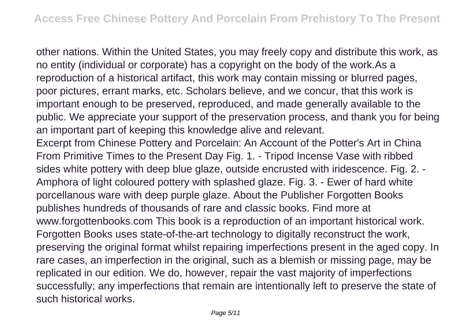other nations. Within the United States, you may freely copy and distribute this work, as no entity (individual or corporate) has a copyright on the body of the work.As a reproduction of a historical artifact, this work may contain missing or blurred pages, poor pictures, errant marks, etc. Scholars believe, and we concur, that this work is important enough to be preserved, reproduced, and made generally available to the public. We appreciate your support of the preservation process, and thank you for being an important part of keeping this knowledge alive and relevant. Excerpt from Chinese Pottery and Porcelain: An Account of the Potter's Art in China From Primitive Times to the Present Day Fig. 1. - Tripod Incense Vase with ribbed sides white pottery with deep blue glaze, outside encrusted with iridescence. Fig. 2. - Amphora of light coloured pottery with splashed glaze. Fig. 3. - Ewer of hard white porcellanous ware with deep purple glaze. About the Publisher Forgotten Books publishes hundreds of thousands of rare and classic books. Find more at www.forgottenbooks.com This book is a reproduction of an important historical work. Forgotten Books uses state-of-the-art technology to digitally reconstruct the work, preserving the original format whilst repairing imperfections present in the aged copy. In rare cases, an imperfection in the original, such as a blemish or missing page, may be replicated in our edition. We do, however, repair the vast majority of imperfections successfully; any imperfections that remain are intentionally left to preserve the state of such historical works.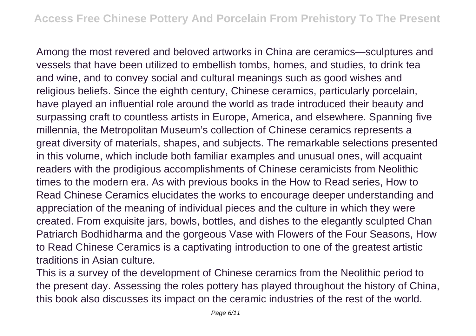Among the most revered and beloved artworks in China are ceramics—sculptures and vessels that have been utilized to embellish tombs, homes, and studies, to drink tea and wine, and to convey social and cultural meanings such as good wishes and religious beliefs. Since the eighth century, Chinese ceramics, particularly porcelain, have played an influential role around the world as trade introduced their beauty and surpassing craft to countless artists in Europe, America, and elsewhere. Spanning five millennia, the Metropolitan Museum's collection of Chinese ceramics represents a great diversity of materials, shapes, and subjects. The remarkable selections presented in this volume, which include both familiar examples and unusual ones, will acquaint readers with the prodigious accomplishments of Chinese ceramicists from Neolithic times to the modern era. As with previous books in the How to Read series, How to Read Chinese Ceramics elucidates the works to encourage deeper understanding and appreciation of the meaning of individual pieces and the culture in which they were created. From exquisite jars, bowls, bottles, and dishes to the elegantly sculpted Chan Patriarch Bodhidharma and the gorgeous Vase with Flowers of the Four Seasons, How to Read Chinese Ceramics is a captivating introduction to one of the greatest artistic traditions in Asian culture.

This is a survey of the development of Chinese ceramics from the Neolithic period to the present day. Assessing the roles pottery has played throughout the history of China, this book also discusses its impact on the ceramic industries of the rest of the world.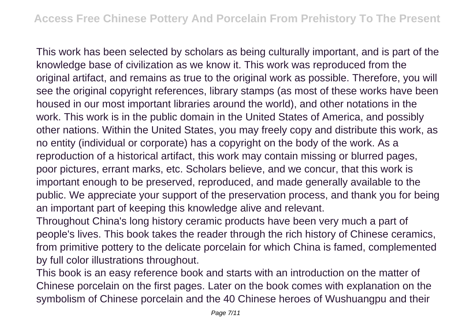This work has been selected by scholars as being culturally important, and is part of the knowledge base of civilization as we know it. This work was reproduced from the original artifact, and remains as true to the original work as possible. Therefore, you will see the original copyright references, library stamps (as most of these works have been housed in our most important libraries around the world), and other notations in the work. This work is in the public domain in the United States of America, and possibly other nations. Within the United States, you may freely copy and distribute this work, as no entity (individual or corporate) has a copyright on the body of the work. As a reproduction of a historical artifact, this work may contain missing or blurred pages, poor pictures, errant marks, etc. Scholars believe, and we concur, that this work is important enough to be preserved, reproduced, and made generally available to the public. We appreciate your support of the preservation process, and thank you for being an important part of keeping this knowledge alive and relevant.

Throughout China's long history ceramic products have been very much a part of people's lives. This book takes the reader through the rich history of Chinese ceramics, from primitive pottery to the delicate porcelain for which China is famed, complemented by full color illustrations throughout.

This book is an easy reference book and starts with an introduction on the matter of Chinese porcelain on the first pages. Later on the book comes with explanation on the symbolism of Chinese porcelain and the 40 Chinese heroes of Wushuangpu and their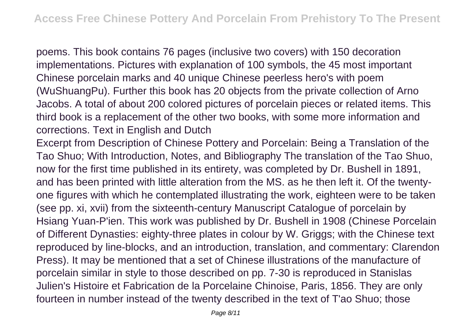poems. This book contains 76 pages (inclusive two covers) with 150 decoration implementations. Pictures with explanation of 100 symbols, the 45 most important Chinese porcelain marks and 40 unique Chinese peerless hero's with poem (WuShuangPu). Further this book has 20 objects from the private collection of Arno Jacobs. A total of about 200 colored pictures of porcelain pieces or related items. This third book is a replacement of the other two books, with some more information and corrections. Text in English and Dutch

Excerpt from Description of Chinese Pottery and Porcelain: Being a Translation of the Tao Shuo; With Introduction, Notes, and Bibliography The translation of the Tao Shuo, now for the first time published in its entirety, was completed by Dr. Bushell in 1891, and has been printed with little alteration from the MS. as he then left it. Of the twentyone figures with which he contemplated illustrating the work, eighteen were to be taken (see pp. xi, xvii) from the sixteenth-century Manuscript Catalogue of porcelain by Hsiang Yuan-P'ien. This work was published by Dr. Bushell in 1908 (Chinese Porcelain of Different Dynasties: eighty-three plates in colour by W. Griggs; with the Chinese text reproduced by line-blocks, and an introduction, translation, and commentary: Clarendon Press). It may be mentioned that a set of Chinese illustrations of the manufacture of porcelain similar in style to those described on pp. 7-30 is reproduced in Stanislas Julien's Histoire et Fabrication de la Porcelaine Chinoise, Paris, 1856. They are only fourteen in number instead of the twenty described in the text of T'ao Shuo; those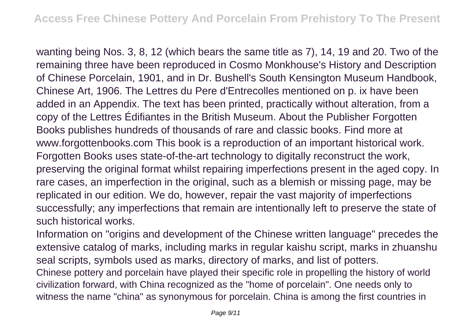wanting being Nos. 3, 8, 12 (which bears the same title as 7), 14, 19 and 20. Two of the remaining three have been reproduced in Cosmo Monkhouse's History and Description of Chinese Porcelain, 1901, and in Dr. Bushell's South Kensington Museum Handbook, Chinese Art, 1906. The Lettres du Pere d'Entrecolles mentioned on p. ix have been added in an Appendix. The text has been printed, practically without alteration, from a copy of the Lettres Édifiantes in the British Museum. About the Publisher Forgotten Books publishes hundreds of thousands of rare and classic books. Find more at www.forgottenbooks.com This book is a reproduction of an important historical work. Forgotten Books uses state-of-the-art technology to digitally reconstruct the work, preserving the original format whilst repairing imperfections present in the aged copy. In rare cases, an imperfection in the original, such as a blemish or missing page, may be replicated in our edition. We do, however, repair the vast majority of imperfections successfully; any imperfections that remain are intentionally left to preserve the state of such historical works.

Information on "origins and development of the Chinese written language" precedes the extensive catalog of marks, including marks in regular kaishu script, marks in zhuanshu seal scripts, symbols used as marks, directory of marks, and list of potters. Chinese pottery and porcelain have played their specific role in propelling the history of world civilization forward, with China recognized as the "home of porcelain". One needs only to witness the name "china" as synonymous for porcelain. China is among the first countries in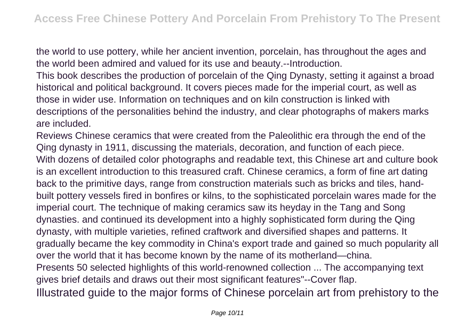the world to use pottery, while her ancient invention, porcelain, has throughout the ages and the world been admired and valued for its use and beauty.--Introduction.

This book describes the production of porcelain of the Qing Dynasty, setting it against a broad historical and political background. It covers pieces made for the imperial court, as well as those in wider use. Information on techniques and on kiln construction is linked with descriptions of the personalities behind the industry, and clear photographs of makers marks are included.

Reviews Chinese ceramics that were created from the Paleolithic era through the end of the Qing dynasty in 1911, discussing the materials, decoration, and function of each piece. With dozens of detailed color photographs and readable text, this Chinese art and culture book is an excellent introduction to this treasured craft. Chinese ceramics, a form of fine art dating back to the primitive days, range from construction materials such as bricks and tiles, handbuilt pottery vessels fired in bonfires or kilns, to the sophisticated porcelain wares made for the imperial court. The technique of making ceramics saw its heyday in the Tang and Song dynasties. and continued its development into a highly sophisticated form during the Qing dynasty, with multiple varieties, refined craftwork and diversified shapes and patterns. It gradually became the key commodity in China's export trade and gained so much popularity all over the world that it has become known by the name of its motherland—china. Presents 50 selected highlights of this world-renowned collection ... The accompanying text gives brief details and draws out their most significant features"--Cover flap. Illustrated guide to the major forms of Chinese porcelain art from prehistory to the